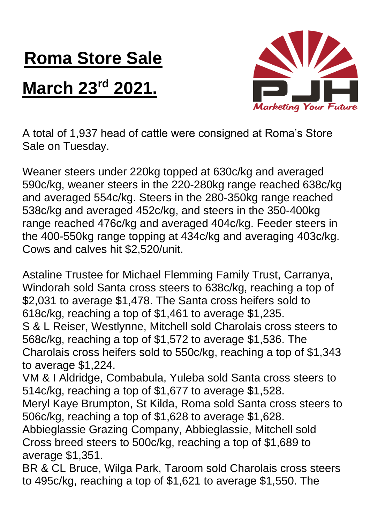## **Roma Store Sale**

## **March 23rd 2021.**



A total of 1,937 head of cattle were consigned at Roma's Store Sale on Tuesday.

Weaner steers under 220kg topped at 630c/kg and averaged 590c/kg, weaner steers in the 220-280kg range reached 638c/kg and averaged 554c/kg. Steers in the 280-350kg range reached 538c/kg and averaged 452c/kg, and steers in the 350-400kg range reached 476c/kg and averaged 404c/kg. Feeder steers in the 400-550kg range topping at 434c/kg and averaging 403c/kg. Cows and calves hit \$2,520/unit.

Astaline Trustee for Michael Flemming Family Trust, Carranya, Windorah sold Santa cross steers to 638c/kg, reaching a top of \$2,031 to average \$1,478. The Santa cross heifers sold to 618c/kg, reaching a top of \$1,461 to average \$1,235. S & L Reiser, Westlynne, Mitchell sold Charolais cross steers to 568c/kg, reaching a top of \$1,572 to average \$1,536. The Charolais cross heifers sold to 550c/kg, reaching a top of \$1,343 to average \$1,224.

VM & I Aldridge, Combabula, Yuleba sold Santa cross steers to 514c/kg, reaching a top of \$1,677 to average \$1,528.

Meryl Kaye Brumpton, St Kilda, Roma sold Santa cross steers to 506c/kg, reaching a top of \$1,628 to average \$1,628.

Abbieglassie Grazing Company, Abbieglassie, Mitchell sold Cross breed steers to 500c/kg, reaching a top of \$1,689 to average \$1,351.

BR & CL Bruce, Wilga Park, Taroom sold Charolais cross steers to 495c/kg, reaching a top of \$1,621 to average \$1,550. The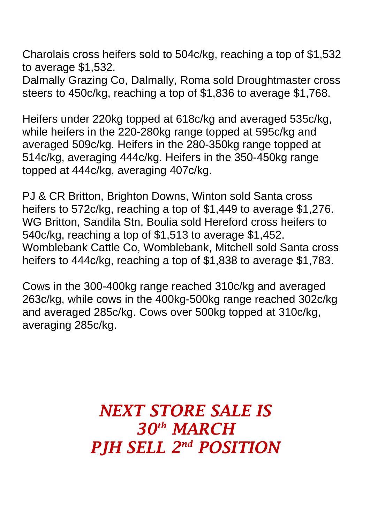Charolais cross heifers sold to 504c/kg, reaching a top of \$1,532 to average \$1,532.

Dalmally Grazing Co, Dalmally, Roma sold Droughtmaster cross steers to 450c/kg, reaching a top of \$1,836 to average \$1,768.

Heifers under 220kg topped at 618c/kg and averaged 535c/kg, while heifers in the 220-280kg range topped at 595c/kg and averaged 509c/kg. Heifers in the 280-350kg range topped at 514c/kg, averaging 444c/kg. Heifers in the 350-450kg range topped at 444c/kg, averaging 407c/kg.

PJ & CR Britton, Brighton Downs, Winton sold Santa cross heifers to 572c/kg, reaching a top of \$1,449 to average \$1,276. WG Britton, Sandila Stn, Boulia sold Hereford cross heifers to 540c/kg, reaching a top of \$1,513 to average \$1,452. Womblebank Cattle Co, Womblebank, Mitchell sold Santa cross heifers to 444c/kg, reaching a top of \$1,838 to average \$1,783.

Cows in the 300-400kg range reached 310c/kg and averaged 263c/kg, while cows in the 400kg-500kg range reached 302c/kg and averaged 285c/kg. Cows over 500kg topped at 310c/kg, averaging 285c/kg.

## *NEXT STORE SALE IS 30th MARCH PJH SELL 2 nd POSITION*